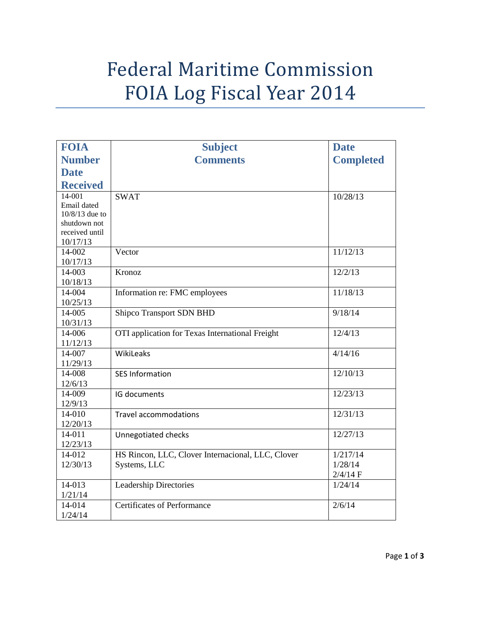## Federal Maritime Commission FOIA Log Fiscal Year 2014

| <b>FOIA</b>     | <b>Subject</b>                                    | <b>Date</b>      |
|-----------------|---------------------------------------------------|------------------|
| <b>Number</b>   | <b>Comments</b>                                   | <b>Completed</b> |
| <b>Date</b>     |                                                   |                  |
| <b>Received</b> |                                                   |                  |
| 14-001          | <b>SWAT</b>                                       | 10/28/13         |
| Email dated     |                                                   |                  |
| 10/8/13 due to  |                                                   |                  |
| shutdown not    |                                                   |                  |
| received until  |                                                   |                  |
| 10/17/13        |                                                   |                  |
| 14-002          | Vector                                            | 11/12/13         |
| 10/17/13        |                                                   |                  |
| 14-003          | Kronoz                                            | 12/2/13          |
| 10/18/13        |                                                   |                  |
| 14-004          | Information re: FMC employees                     | 11/18/13         |
| 10/25/13        |                                                   |                  |
| 14-005          | <b>Shipco Transport SDN BHD</b>                   | 9/18/14          |
| 10/31/13        |                                                   |                  |
| 14-006          | OTI application for Texas International Freight   | 12/4/13          |
| 11/12/13        |                                                   |                  |
| 14-007          | WikiLeaks                                         | 4/14/16          |
| 11/29/13        |                                                   |                  |
| 14-008          | <b>SES Information</b>                            | 12/10/13         |
| 12/6/13         |                                                   |                  |
| 14-009          | IG documents                                      | 12/23/13         |
| 12/9/13         |                                                   |                  |
| 14-010          | <b>Travel accommodations</b>                      | 12/31/13         |
| 12/20/13        |                                                   |                  |
| 14-011          | Unnegotiated checks                               | 12/27/13         |
| 12/23/13        |                                                   |                  |
| 14-012          | HS Rincon, LLC, Clover Internacional, LLC, Clover | 1/217/14         |
| 12/30/13        | Systems, LLC                                      | 1/28/14          |
|                 |                                                   | $2/4/14$ F       |
| 14-013          | <b>Leadership Directories</b>                     | 1/24/14          |
| 1/21/14         |                                                   |                  |
| 14-014          | <b>Certificates of Performance</b>                | 2/6/14           |
| 1/24/14         |                                                   |                  |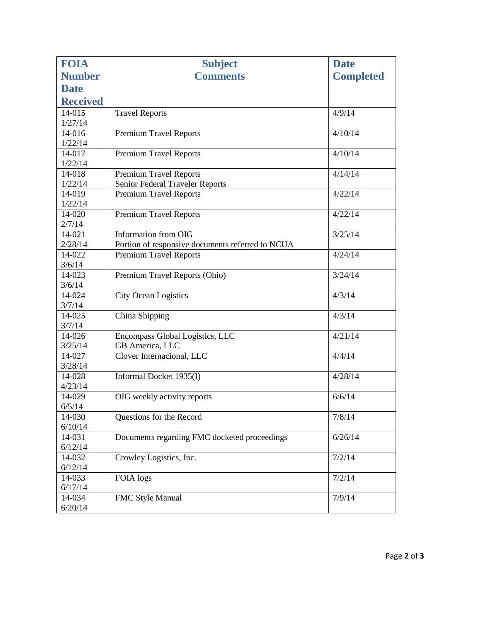| <b>FOIA</b>       | <b>Subject</b>                                   | <b>Date</b>      |
|-------------------|--------------------------------------------------|------------------|
| <b>Number</b>     | <b>Comments</b>                                  | <b>Completed</b> |
| <b>Date</b>       |                                                  |                  |
| <b>Received</b>   |                                                  |                  |
| 14-015            | <b>Travel Reports</b>                            | 4/9/14           |
| 1/27/14           |                                                  |                  |
| 14-016            | <b>Premium Travel Reports</b>                    | 4/10/14          |
| 1/22/14           |                                                  |                  |
| 14-017            | <b>Premium Travel Reports</b>                    | 4/10/14          |
| 1/22/14           |                                                  |                  |
| 14-018            | <b>Premium Travel Reports</b>                    | 4/14/14          |
| 1/22/14           | Senior Federal Traveler Reports                  |                  |
| 14-019            | <b>Premium Travel Reports</b>                    | 4/22/14          |
| 1/22/14           |                                                  |                  |
| 14-020            | Premium Travel Reports                           | 4/22/14          |
| 2/7/14            |                                                  |                  |
| 14-021            | Information from OIG                             | 3/25/14          |
| 2/28/14           | Portion of responsive documents referred to NCUA |                  |
| 14-022<br>3/6/14  | <b>Premium Travel Reports</b>                    | 4/24/14          |
| 14-023            | Premium Travel Reports (Ohio)                    | 3/24/14          |
| 3/6/14            |                                                  |                  |
| 14-024            | <b>City Ocean Logistics</b>                      | 4/3/14           |
| 3/7/14            |                                                  |                  |
| 14-025            | China Shipping                                   | 4/3/14           |
| 3/7/14            |                                                  |                  |
| 14-026            | Encompass Global Logistics, LLC                  | 4/21/14          |
| 3/25/14           | GB America, LLC                                  |                  |
| 14-027            | Clover Internacional, LLC                        | 4/4/14           |
| 3/28/14           |                                                  |                  |
| 14-028            | Informal Docket 1935(I)                          | 4/28/14          |
| 4/23/14           |                                                  |                  |
| 14-029            | OIG weekly activity reports                      | 6/6/14           |
| 6/5/14            |                                                  |                  |
| 14-030            | Questions for the Record                         | 7/8/14           |
| 6/10/14           |                                                  |                  |
| 14-031            | Documents regarding FMC docketed proceedings     | 6/26/14          |
| 6/12/14           |                                                  |                  |
| 14-032            | Crowley Logistics, Inc.                          | 7/2/14           |
| 6/12/14<br>14-033 | FOIA logs                                        | 7/2/14           |
| 6/17/14           |                                                  |                  |
| 14-034            | FMC Style Manual                                 | 7/9/14           |
| 6/20/14           |                                                  |                  |